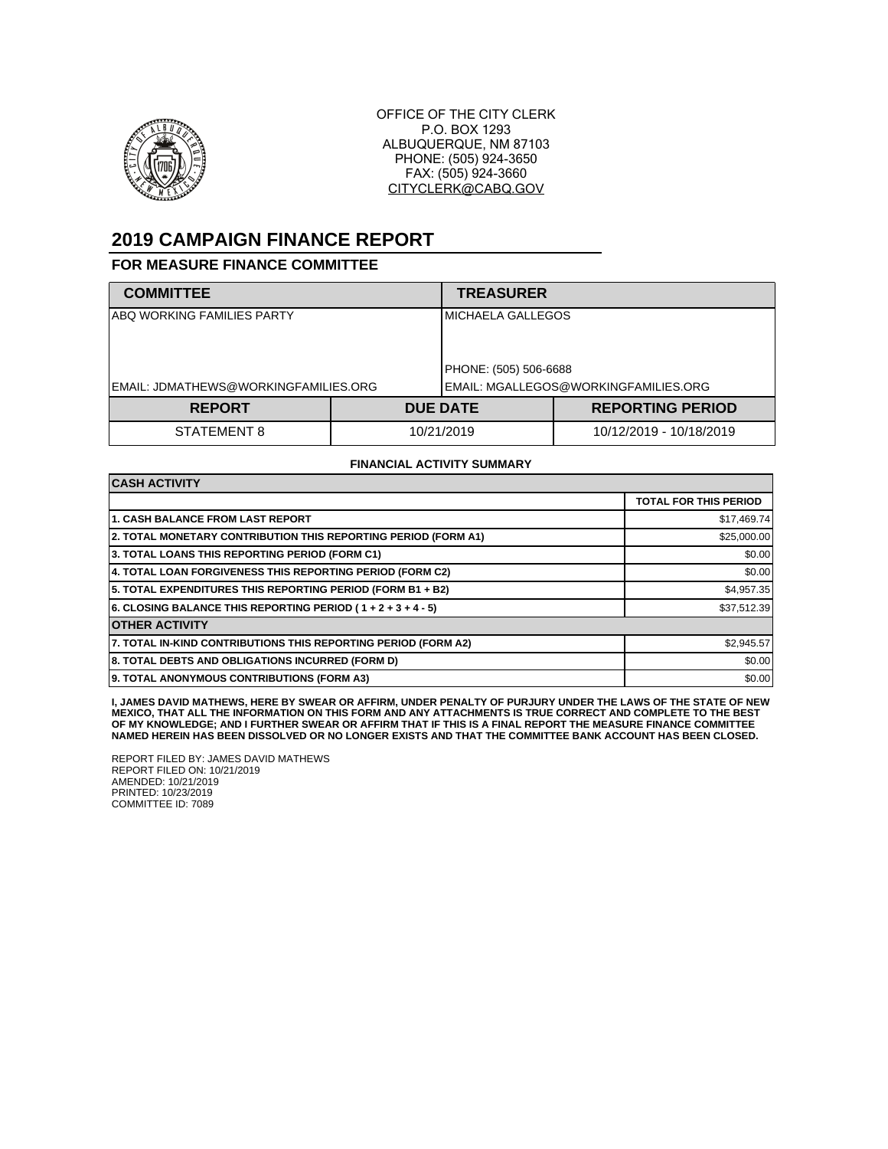

OFFICE OF THE CITY CLERK P.O. BOX 1293 ALBUQUERQUE, NM 87103 PHONE: (505) 924-3650 FAX: (505) 924-3660 CITYCLERK@CABQ.GOV

# **2019 CAMPAIGN FINANCE REPORT**

### **FOR MEASURE FINANCE COMMITTEE**

| <b>COMMITTEE</b>                     |            | <b>TREASURER</b>                      |                            |  |
|--------------------------------------|------------|---------------------------------------|----------------------------|--|
| ABQ WORKING FAMILIES PARTY           |            |                                       | <b>I</b> MICHAELA GALLEGOS |  |
|                                      |            | PHONE: (505) 506-6688                 |                            |  |
| EMAIL: JDMATHEWS@WORKINGFAMILIES.ORG |            | IEMAIL: MGALLEGOS@WORKINGFAMILIES.ORG |                            |  |
| <b>REPORT</b>                        |            | <b>DUE DATE</b>                       | <b>REPORTING PERIOD</b>    |  |
| STATEMENT 8                          | 10/21/2019 |                                       | 10/12/2019 - 10/18/2019    |  |

#### **FINANCIAL ACTIVITY SUMMARY**

| <b>CASH ACTIVITY</b>                                           |                              |  |
|----------------------------------------------------------------|------------------------------|--|
|                                                                | <b>TOTAL FOR THIS PERIOD</b> |  |
| <b>1. CASH BALANCE FROM LAST REPORT</b>                        | \$17,469.74                  |  |
| 2. TOTAL MONETARY CONTRIBUTION THIS REPORTING PERIOD (FORM A1) | \$25,000.00                  |  |
| 3. TOTAL LOANS THIS REPORTING PERIOD (FORM C1)                 | \$0.00                       |  |
| 4. TOTAL LOAN FORGIVENESS THIS REPORTING PERIOD (FORM C2)      | \$0.00                       |  |
| 5. TOTAL EXPENDITURES THIS REPORTING PERIOD (FORM B1 + B2)     | \$4,957.35                   |  |
| 6. CLOSING BALANCE THIS REPORTING PERIOD (1+2+3+4-5)           | \$37,512.39                  |  |
| <b>OTHER ACTIVITY</b>                                          |                              |  |
| 7. TOTAL IN-KIND CONTRIBUTIONS THIS REPORTING PERIOD (FORM A2) | \$2,945.57                   |  |
| 8. TOTAL DEBTS AND OBLIGATIONS INCURRED (FORM D)               | \$0.00                       |  |
| 9. TOTAL ANONYMOUS CONTRIBUTIONS (FORM A3)                     | \$0.00                       |  |

**I, JAMES DAVID MATHEWS, HERE BY SWEAR OR AFFIRM, UNDER PENALTY OF PURJURY UNDER THE LAWS OF THE STATE OF NEW MEXICO, THAT ALL THE INFORMATION ON THIS FORM AND ANY ATTACHMENTS IS TRUE CORRECT AND COMPLETE TO THE BEST OF MY KNOWLEDGE; AND I FURTHER SWEAR OR AFFIRM THAT IF THIS IS A FINAL REPORT THE MEASURE FINANCE COMMITTEE NAMED HEREIN HAS BEEN DISSOLVED OR NO LONGER EXISTS AND THAT THE COMMITTEE BANK ACCOUNT HAS BEEN CLOSED.**

REPORT FILED BY: JAMES DAVID MATHEWS REPORT FILED ON: 10/21/2019 AMENDED: 10/21/2019 PRINTED: 10/23/2019 COMMITTEE ID: 7089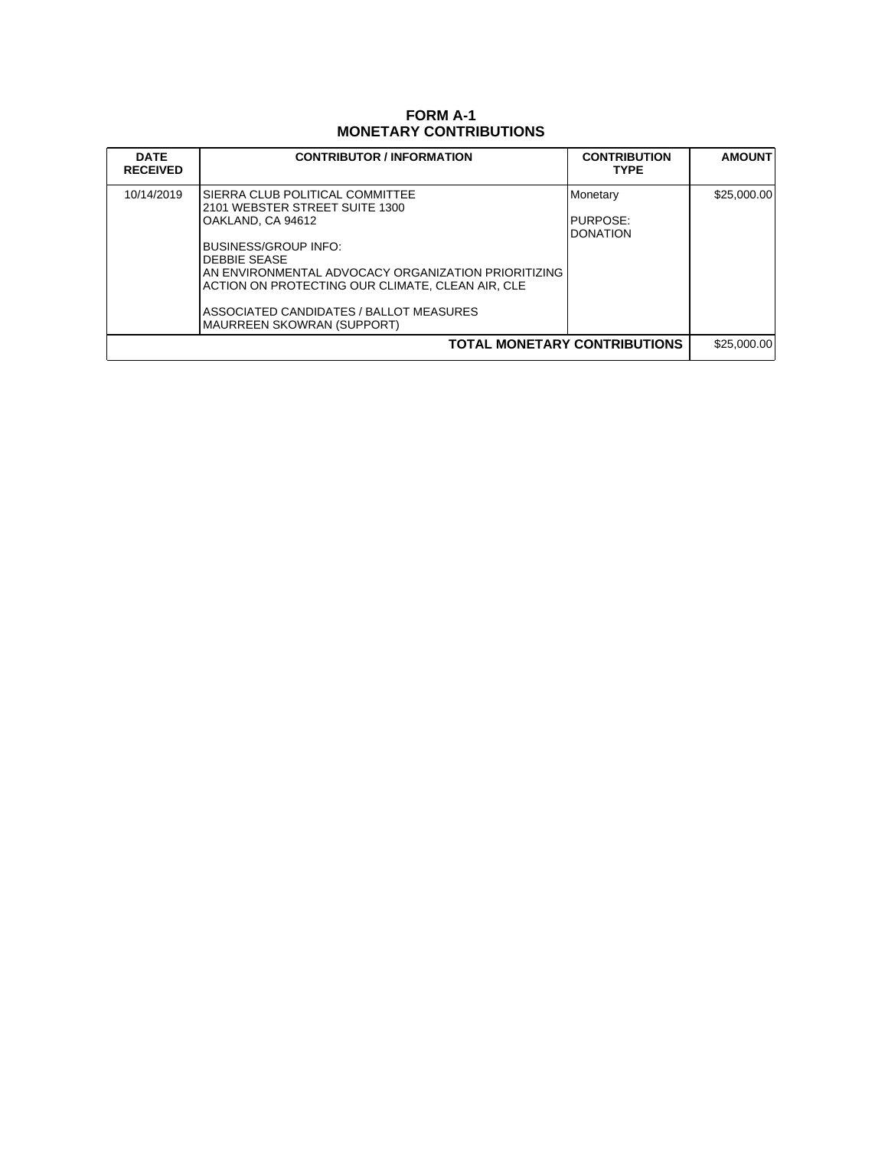# **FORM A-1 MONETARY CONTRIBUTIONS**

| <b>DATE</b><br><b>RECEIVED</b> | <b>CONTRIBUTOR / INFORMATION</b>                                                                                                                                                                                                                                                                                           | <b>CONTRIBUTION</b><br><b>TYPE</b>  | <b>AMOUNT</b> |
|--------------------------------|----------------------------------------------------------------------------------------------------------------------------------------------------------------------------------------------------------------------------------------------------------------------------------------------------------------------------|-------------------------------------|---------------|
| 10/14/2019                     | SIERRA CLUB POLITICAL COMMITTEE<br>2101 WEBSTER STREET SUITE 1300<br>OAKLAND, CA 94612<br>BUSINESS/GROUP INFO:<br><b>DEBBIE SEASE</b><br>AN ENVIRONMENTAL ADVOCACY ORGANIZATION PRIORITIZING<br>IACTION ON PROTECTING OUR CLIMATE. CLEAN AIR. CLE<br>ASSOCIATED CANDIDATES / BALLOT MEASURES<br>MAURREEN SKOWRAN (SUPPORT) | Monetary<br>PURPOSE:<br>DONATION    | \$25,000.00   |
|                                |                                                                                                                                                                                                                                                                                                                            | <b>TOTAL MONETARY CONTRIBUTIONS</b> | \$25,000.00   |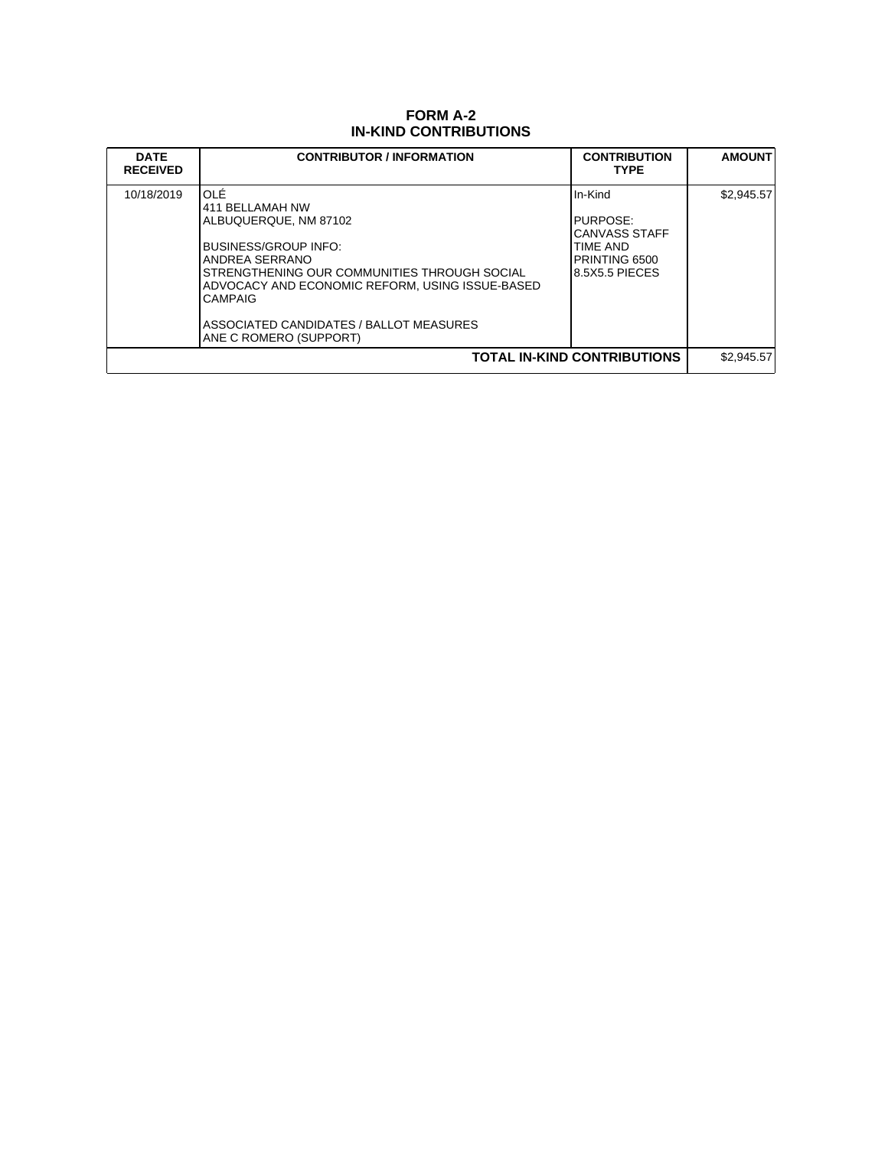### **FORM A-2 IN-KIND CONTRIBUTIONS**

| <b>DATE</b><br><b>RECEIVED</b>     | <b>CONTRIBUTOR / INFORMATION</b>                                                                                                                                                                                                                                                     | <b>CONTRIBUTION</b><br><b>TYPE</b>                                                  | <b>AMOUNT</b> |
|------------------------------------|--------------------------------------------------------------------------------------------------------------------------------------------------------------------------------------------------------------------------------------------------------------------------------------|-------------------------------------------------------------------------------------|---------------|
| 10/18/2019                         | IOLÉ<br>411 BELLAMAH NW<br>ALBUQUERQUE, NM 87102<br>BUSINESS/GROUP INFO:<br>ANDREA SERRANO<br>STRENGTHENING OUR COMMUNITIES THROUGH SOCIAL<br>ADVOCACY AND ECONOMIC REFORM. USING ISSUE-BASED<br><b>CAMPAIG</b><br>ASSOCIATED CANDIDATES / BALLOT MEASURES<br>ANE C ROMERO (SUPPORT) | In-Kind<br>PURPOSE:<br>CANVASS STAFF<br>TIME AND<br>PRINTING 6500<br>8.5X5.5 PIECES | \$2,945.57    |
| <b>TOTAL IN-KIND CONTRIBUTIONS</b> |                                                                                                                                                                                                                                                                                      |                                                                                     | \$2.945.57    |